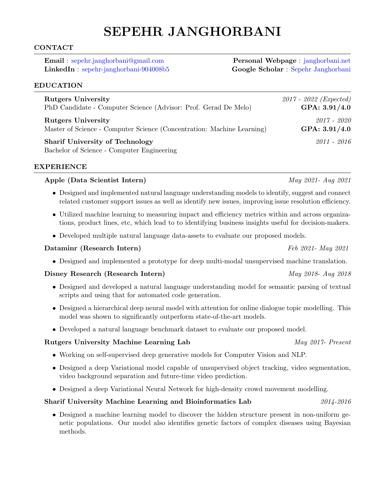# SEPEHR JANGHORBANI

## CONTACT

Email : [sepehr.janghorbani@gmail.com](mailto:sepehr.janghorbani@gmail.com) Personal Webpage : [janghorbani.net](https://janghorbani.net) LinkedIn : [sepehr-janghorbani-904008b5](https://www.linkedin.com/in/sepehr-janghorbani-904008b5/) Google Scholar : [Sepehr Janghorbani](https://scholar.google.com/citations?user=1c_ttzoAAAAJ&hl=en)

#### EDUCATION

| <b>Rutgers University</b>                                                            | $2017 - 2022$ (Expected) |
|--------------------------------------------------------------------------------------|--------------------------|
| PhD Candidate - Computer Science (Advisor: Prof. Gerad De Melo)                      | GPA: 3.91/4.0            |
| <b>Rutgers University</b>                                                            | 2017 - 2020              |
| Master of Science - Computer Science (Concentration: Machine Learning)               | GPA: 3.91/4.0            |
| <b>Sharif University of Technology</b><br>Bachelor of Science - Computer Engineering | $2011 - 2016$            |

#### EXPERIENCE

#### Apple (Data Scientist Intern) May 2021- Aug 2021

- Designed and implemented natural language understanding models to identify, suggest and connect related customer support issues as well as identify new issues, improving issue resolution efficiency.
- Utilized machine learning to measuring impact and efficiency metrics within and across organizations, product lines, etc, which lead to to identifying business insights useful for decision-makers.
- Developed multiple natural language data-assets to evaluate our proposed models.

#### Dataminr (Research Intern) Feb 2021- May 2021

• Designed and implemented a prototype for deep multi-modal unsupervised machine translation.

#### Disney Research (Research Intern) May 2018- Aug 2018

- Designed and developed a natural language understanding model for semantic parsing of textual scripts and using that for automated code generation.
- Designed a hierarchical deep neural model with attention for online dialogue topic modelling. This model was shown to significantly outperform state-of-the-art models.
- Developed a natural language benchmark dataset to evaluate our proposed model.

## Rutgers University Machine Learning Lab May 2017- Present

- Working on self-supervised deep generative models for Computer Vision and NLP.
- Designed a deep Variational model capable of unsupervised object tracking, video segmentation, video background separation and future-time video prediction.
- Designed a deep Variational Neural Network for high-density crowd movement modelling.

#### Sharif University Machine Learning and Bioinformatics Lab  $2014 - 2016$

• Designed a machine learning model to discover the hidden structure present in non-uniform genetic populations. Our model also identifies genetic factors of complex diseases using Bayesian methods.